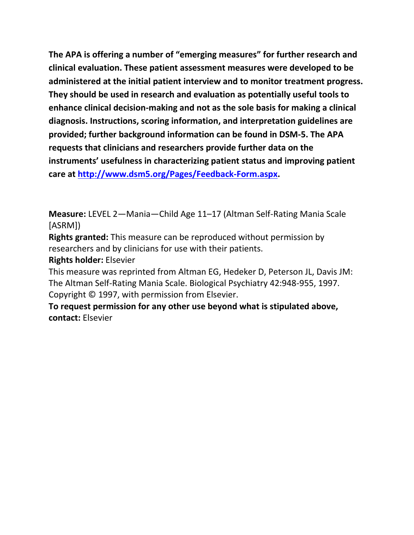**The APA is offering a number of "emerging measures" for further research and clinical evaluation. These patient assessment measures were developed to be administered at the initial patient interview and to monitor treatment progress. They should be used in research and evaluation as potentially useful tools to enhance clinical decision-making and not as the sole basis for making a clinical diagnosis. Instructions, scoring information, and interpretation guidelines are provided; further background information can be found in DSM-5. The APA requests that clinicians and researchers provide further data on the instruments' usefulness in characterizing patient status and improving patient care at [http://www.dsm5.org/Pages/Feedback-Form.aspx.](http://www.dsm5.org/Pages/Feedback-Form.aspx)**

**Measure:** LEVEL 2—Mania—Child Age 11–17 (Altman Self-Rating Mania Scale [ASRM])

**Rights granted:** This measure can be reproduced without permission by researchers and by clinicians for use with their patients.

**Rights holder:** Elsevier

This measure was reprinted from Altman EG, Hedeker D, Peterson JL, Davis JM: The Altman Self-Rating Mania Scale. Biological Psychiatry 42:948-955, 1997. Copyright © 1997, with permission from Elsevier.

**To request permission for any other use beyond what is stipulated above, contact:** Elsevier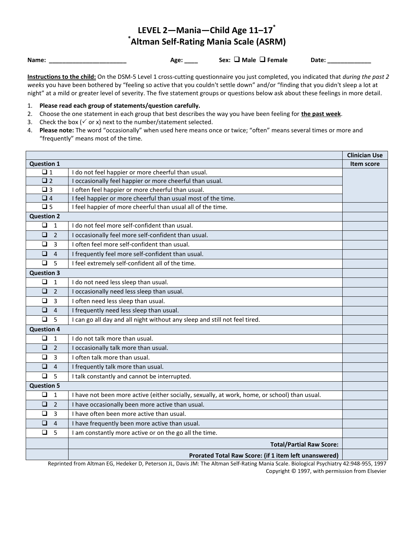# **LEVEL 2—Mania—Child Age 11–17\* \* Altman Self-Rating Mania Scale (ASRM)**

Name: \_\_\_\_\_\_\_\_\_\_\_\_\_\_\_\_\_\_\_\_\_\_\_\_\_\_\_\_ Age: \_\_\_\_ Sex: □ Male □ Female Date: \_\_\_\_\_\_\_\_\_

**Instructions to the child:** On the DSM-5 Level 1 cross-cutting questionnaire you just completed, you indicated that *during the past 2 weeks* you have been bothered by "feeling so active that you couldn't settle down" and/or "finding that you didn't sleep a lot at night" at a mild or greater level of severity. The five statement groups or questions below ask about these feelings in more detail.

- 1. **Please read each group of statements/question carefully.**
- 2. Choose the one statement in each group that best describes the way you have been feeling for **the past week**.
- 3. Check the box ( $\checkmark$  or x) next to the number/statement selected.
- 4. **Please note:** The word "occasionally" when used here means once or twice; "often" means several times or more and "frequently" means most of the time.

|                          |                                                                                               | <b>Clinician Use</b> |
|--------------------------|-----------------------------------------------------------------------------------------------|----------------------|
| <b>Question 1</b>        |                                                                                               | <b>Item score</b>    |
| $\Box$ 1                 | I do not feel happier or more cheerful than usual.                                            |                      |
| $\Box$ 2                 | I occasionally feel happier or more cheerful than usual.                                      |                      |
| $\Box$ 3                 | I often feel happier or more cheerful than usual.                                             |                      |
| $\Box$ 4                 | I feel happier or more cheerful than usual most of the time.                                  |                      |
| $\square$ 5              | I feel happier of more cheerful than usual all of the time.                                   |                      |
| <b>Question 2</b>        |                                                                                               |                      |
| $\Box$<br>$\mathbf{1}$   | I do not feel more self-confident than usual.                                                 |                      |
| $\Box$<br>$\overline{2}$ | I occasionally feel more self-confident than usual.                                           |                      |
| $\Box$<br>3              | I often feel more self-confident than usual.                                                  |                      |
| $\Box$<br>$\overline{4}$ | I frequently feel more self-confident than usual.                                             |                      |
| $\Box$<br>5              | I feel extremely self-confident all of the time.                                              |                      |
| <b>Question 3</b>        |                                                                                               |                      |
| $\Box$<br>$\mathbf{1}$   | I do not need less sleep than usual.                                                          |                      |
| $\Box$<br>$\overline{2}$ | I occasionally need less sleep than usual.                                                    |                      |
| $\Box$<br>$\overline{3}$ | I often need less sleep than usual.                                                           |                      |
| $\Box$<br>$\overline{4}$ | I frequently need less sleep than usual.                                                      |                      |
| $\Box$<br>5              | I can go all day and all night without any sleep and still not feel tired.                    |                      |
| <b>Question 4</b>        |                                                                                               |                      |
| $\Box$<br>$\mathbf{1}$   | I do not talk more than usual.                                                                |                      |
| $\Box$<br>$\overline{2}$ | I occasionally talk more than usual.                                                          |                      |
| $\Box$<br>$\overline{3}$ | I often talk more than usual.                                                                 |                      |
| $\Box$<br>$\overline{4}$ | I frequently talk more than usual.                                                            |                      |
| $\Box$<br>5              | I talk constantly and cannot be interrupted.                                                  |                      |
| <b>Question 5</b>        |                                                                                               |                      |
| $\Box$<br>$\overline{1}$ | I have not been more active (either socially, sexually, at work, home, or school) than usual. |                      |
| $\Box$<br>$\overline{2}$ | I have occasionally been more active than usual.                                              |                      |
| $\Box$<br>$\overline{3}$ | I have often been more active than usual.                                                     |                      |
| $\Box$<br>$\overline{4}$ | I have frequently been more active than usual.                                                |                      |
| $\Box$<br>5              | I am constantly more active or on the go all the time.                                        |                      |
|                          | <b>Total/Partial Raw Score:</b>                                                               |                      |
|                          | Prorated Total Raw Score: (if 1 item left unanswered)                                         |                      |

Reprinted from Altman EG, Hedeker D, Peterson JL, Davis JM: The Altman Self-Rating Mania Scale. Biological Psychiatry 42:948-955, 1997 Copyright © 1997, with permission from Elsevier